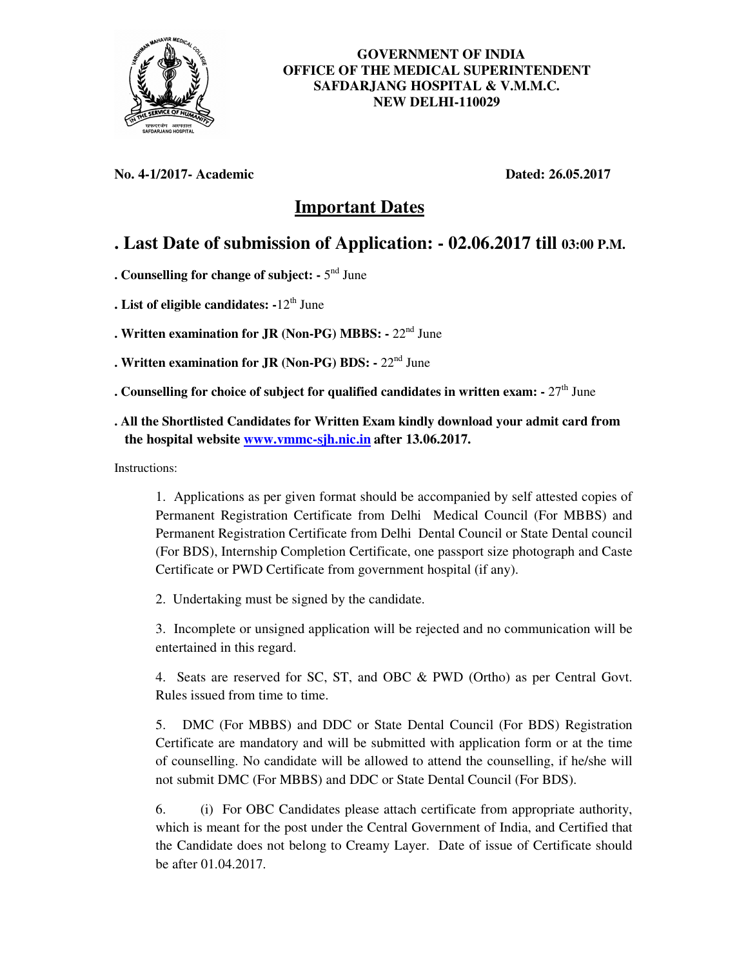

## **GOVERNMENT OF INDIA OFFICE OF THE MEDICAL SUPERINTENDENT SAFDARJANG HOSPITAL & V.M.M.C. NEW DELHI-110029**

**No. 4-1/2017- Academic Dated: 26.05.2017**

## **Important Dates**

## **. Last Date of submission of Application: - 02.06.2017 till 03:00 P.M.**

. Counselling for change of subject: - 5<sup>nd</sup> June

- **. List of eligible candidates: -**12th June
- **. Written examination for JR (Non-PG) MBBS:** 22nd June
- **. Written examination for JR (Non-PG) BDS:** 22nd June
- **. Counselling for choice of subject for qualified candidates in written exam:**  $27<sup>th</sup>$  June
- **. All the Shortlisted Candidates for Written Exam kindly download your admit card from the hospital website www.vmmc-sjh.nic.in after 13.06.2017.**

Instructions:

1. Applications as per given format should be accompanied by self attested copies of Permanent Registration Certificate from Delhi Medical Council (For MBBS) and Permanent Registration Certificate from Delhi Dental Council or State Dental council (For BDS), Internship Completion Certificate, one passport size photograph and Caste Certificate or PWD Certificate from government hospital (if any).

2. Undertaking must be signed by the candidate.

 3. Incomplete or unsigned application will be rejected and no communication will be entertained in this regard.

 4. Seats are reserved for SC, ST, and OBC & PWD (Ortho) as per Central Govt. Rules issued from time to time.

5. DMC (For MBBS) and DDC or State Dental Council (For BDS) Registration Certificate are mandatory and will be submitted with application form or at the time of counselling. No candidate will be allowed to attend the counselling, if he/she will not submit DMC (For MBBS) and DDC or State Dental Council (For BDS).

6. (i) For OBC Candidates please attach certificate from appropriate authority, which is meant for the post under the Central Government of India, and Certified that the Candidate does not belong to Creamy Layer. Date of issue of Certificate should be after 01.04.2017.